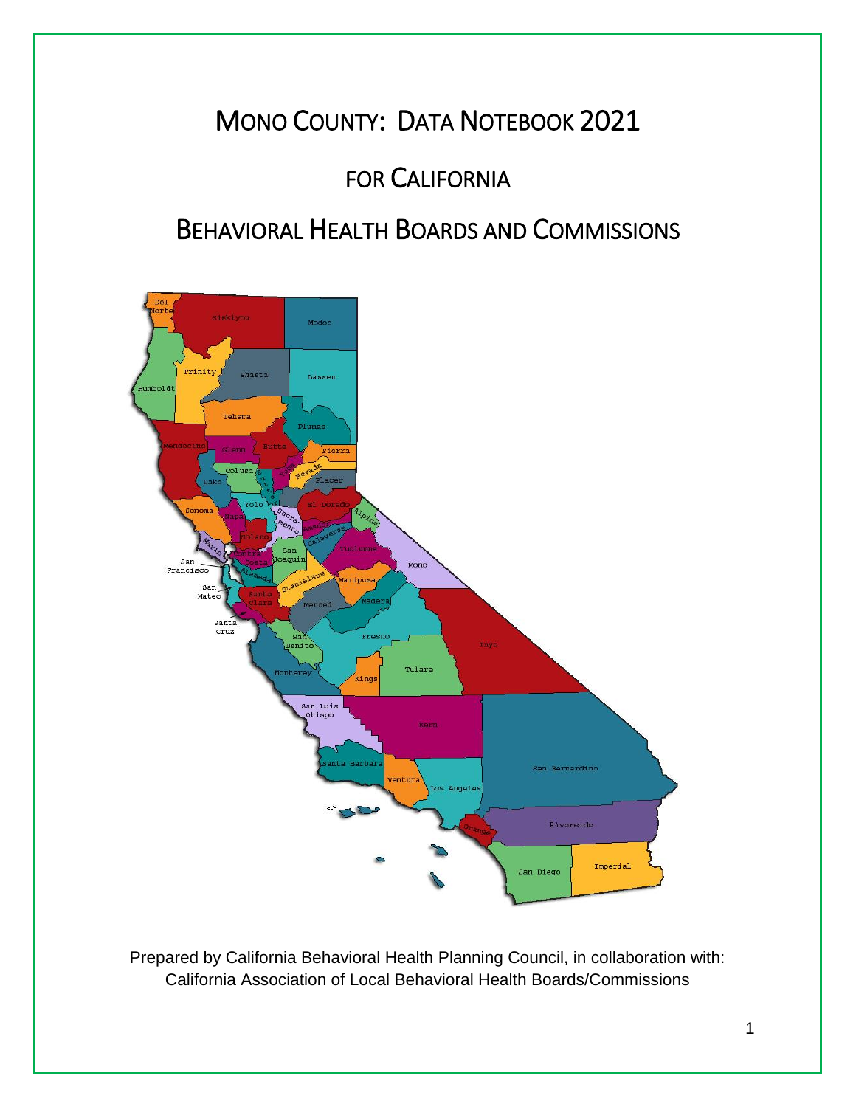# MONO COUNTY: DATA NOTEBOOK 2021

# FOR CALIFORNIA

# BEHAVIORAL HEALTH BOARDS AND COMMISSIONS



Prepared by California Behavioral Health Planning Council, in collaboration with: California Association of Local Behavioral Health Boards/Commissions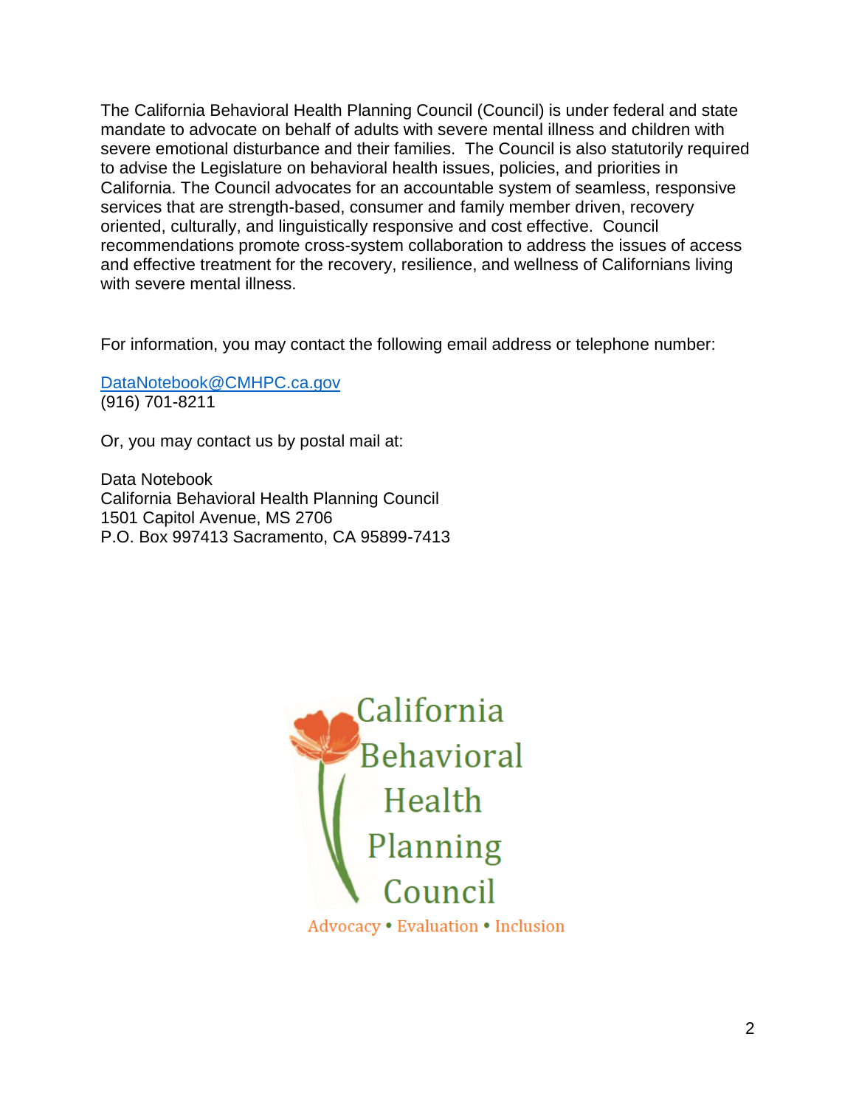The California Behavioral Health Planning Council (Council) is under federal and state mandate to advocate on behalf of adults with severe mental illness and children with severe emotional disturbance and their families. The Council is also statutorily required to advise the Legislature on behavioral health issues, policies, and priorities in California. The Council advocates for an accountable system of seamless, responsive services that are strength-based, consumer and family member driven, recovery oriented, culturally, and linguistically responsive and cost effective. Council recommendations promote cross-system collaboration to address the issues of access and effective treatment for the recovery, resilience, and wellness of Californians living with severe mental illness.

For information, you may contact the following email address or telephone number:

[DataNotebook@CMHPC.ca.gov](mailto:DataNotebook@CMHPC.ca.gov) (916) 701-8211

Or, you may contact us by postal mail at:

Data Notebook California Behavioral Health Planning Council 1501 Capitol Avenue, MS 2706 P.O. Box 997413 Sacramento, CA 95899-7413

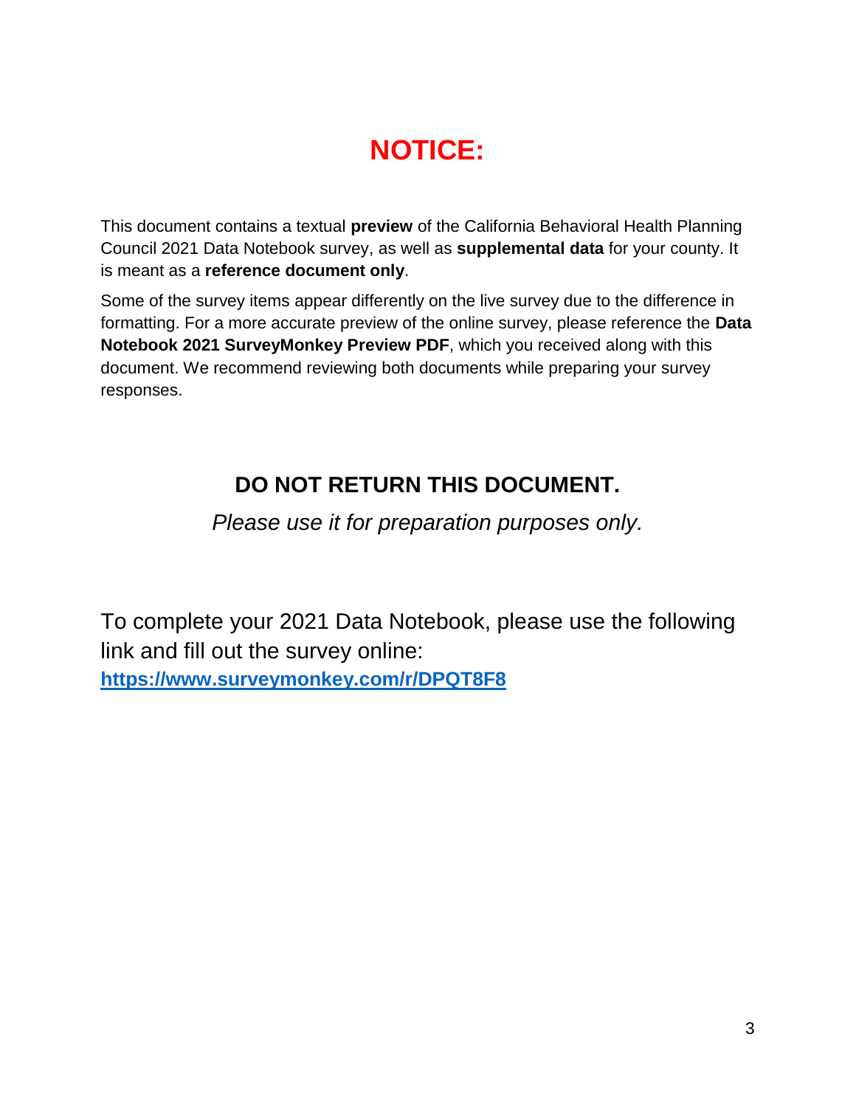# **NOTICE:**

This document contains a textual **preview** of the California Behavioral Health Planning Council 2021 Data Notebook survey, as well as **supplemental data** for your county. It is meant as a **reference document only**.

Some of the survey items appear differently on the live survey due to the difference in formatting. For a more accurate preview of the online survey, please reference the **Data Notebook 2021 SurveyMonkey Preview PDF**, which you received along with this document. We recommend reviewing both documents while preparing your survey responses.

## **DO NOT RETURN THIS DOCUMENT.**

*Please use it for preparation purposes only.*

To complete your 2021 Data Notebook, please use the following link and fill out the survey online: **<https://www.surveymonkey.com/r/DPQT8F8>**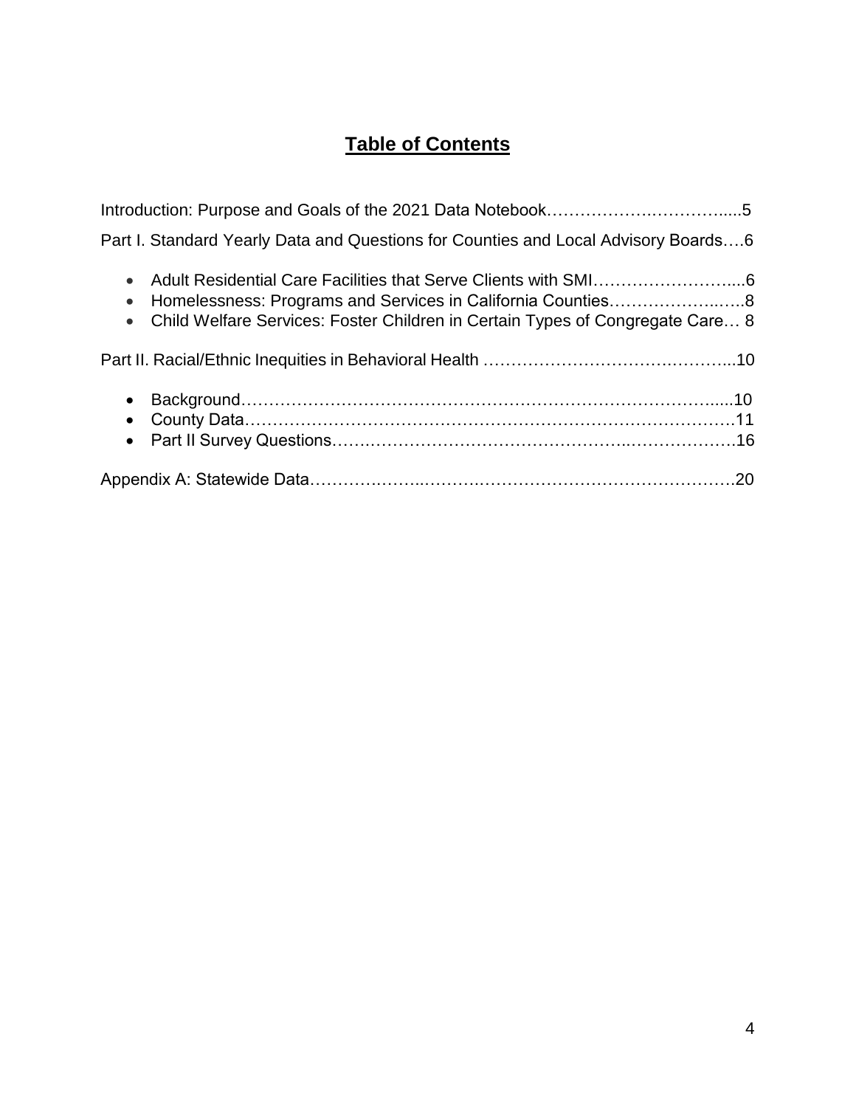## **Table of Contents**

| Part I. Standard Yearly Data and Questions for Counties and Local Advisory Boards6 |  |
|------------------------------------------------------------------------------------|--|
| • Child Welfare Services: Foster Children in Certain Types of Congregate Care 8    |  |
|                                                                                    |  |
|                                                                                    |  |
|                                                                                    |  |
|                                                                                    |  |
|                                                                                    |  |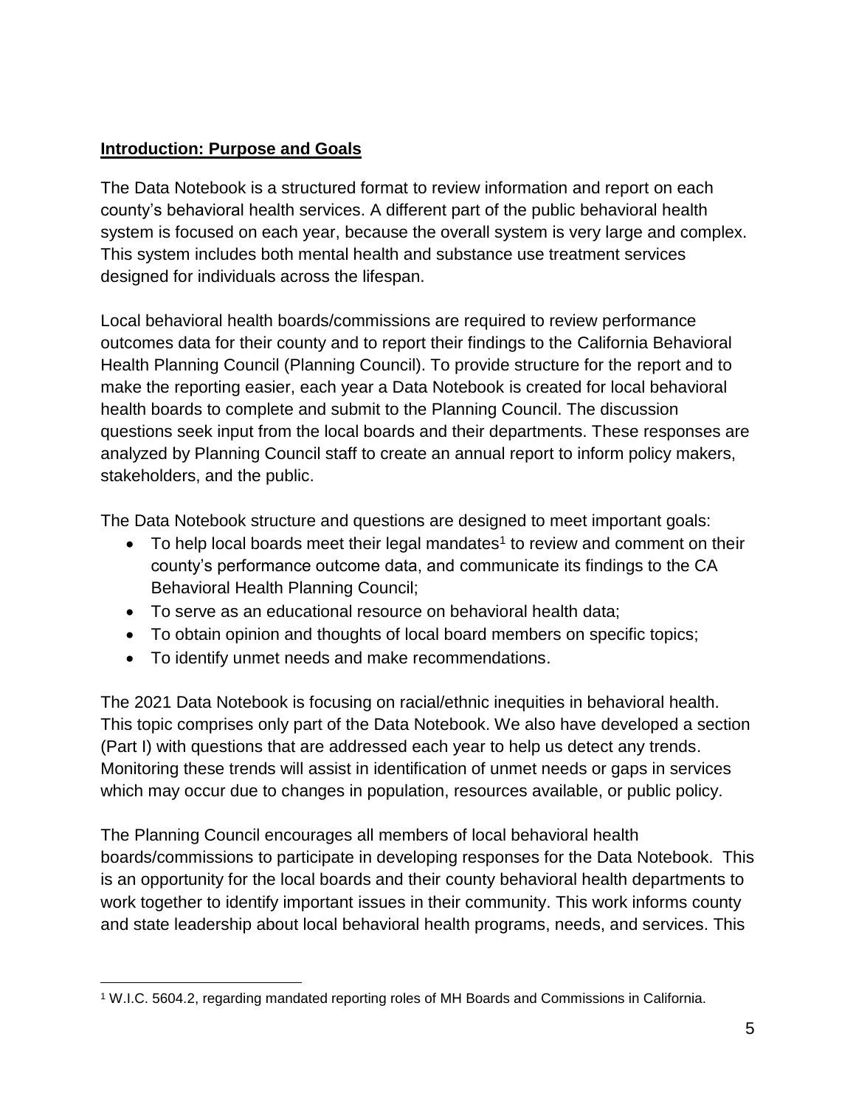## **Introduction: Purpose and Goals**

The Data Notebook is a structured format to review information and report on each county's behavioral health services. A different part of the public behavioral health system is focused on each year, because the overall system is very large and complex. This system includes both mental health and substance use treatment services designed for individuals across the lifespan.

Local behavioral health boards/commissions are required to review performance outcomes data for their county and to report their findings to the California Behavioral Health Planning Council (Planning Council). To provide structure for the report and to make the reporting easier, each year a Data Notebook is created for local behavioral health boards to complete and submit to the Planning Council. The discussion questions seek input from the local boards and their departments. These responses are analyzed by Planning Council staff to create an annual report to inform policy makers, stakeholders, and the public.

The Data Notebook structure and questions are designed to meet important goals:

- $\bullet$  To help local boards meet their legal mandates<sup>1</sup> to review and comment on their county's performance outcome data, and communicate its findings to the CA Behavioral Health Planning Council;
- To serve as an educational resource on behavioral health data;
- To obtain opinion and thoughts of local board members on specific topics;
- To identify unmet needs and make recommendations.

The 2021 Data Notebook is focusing on racial/ethnic inequities in behavioral health. This topic comprises only part of the Data Notebook. We also have developed a section (Part I) with questions that are addressed each year to help us detect any trends. Monitoring these trends will assist in identification of unmet needs or gaps in services which may occur due to changes in population, resources available, or public policy.

The Planning Council encourages all members of local behavioral health boards/commissions to participate in developing responses for the Data Notebook. This is an opportunity for the local boards and their county behavioral health departments to work together to identify important issues in their community. This work informs county and state leadership about local behavioral health programs, needs, and services. This

 $\overline{\phantom{a}}$ <sup>1</sup> W.I.C. 5604.2, regarding mandated reporting roles of MH Boards and Commissions in California.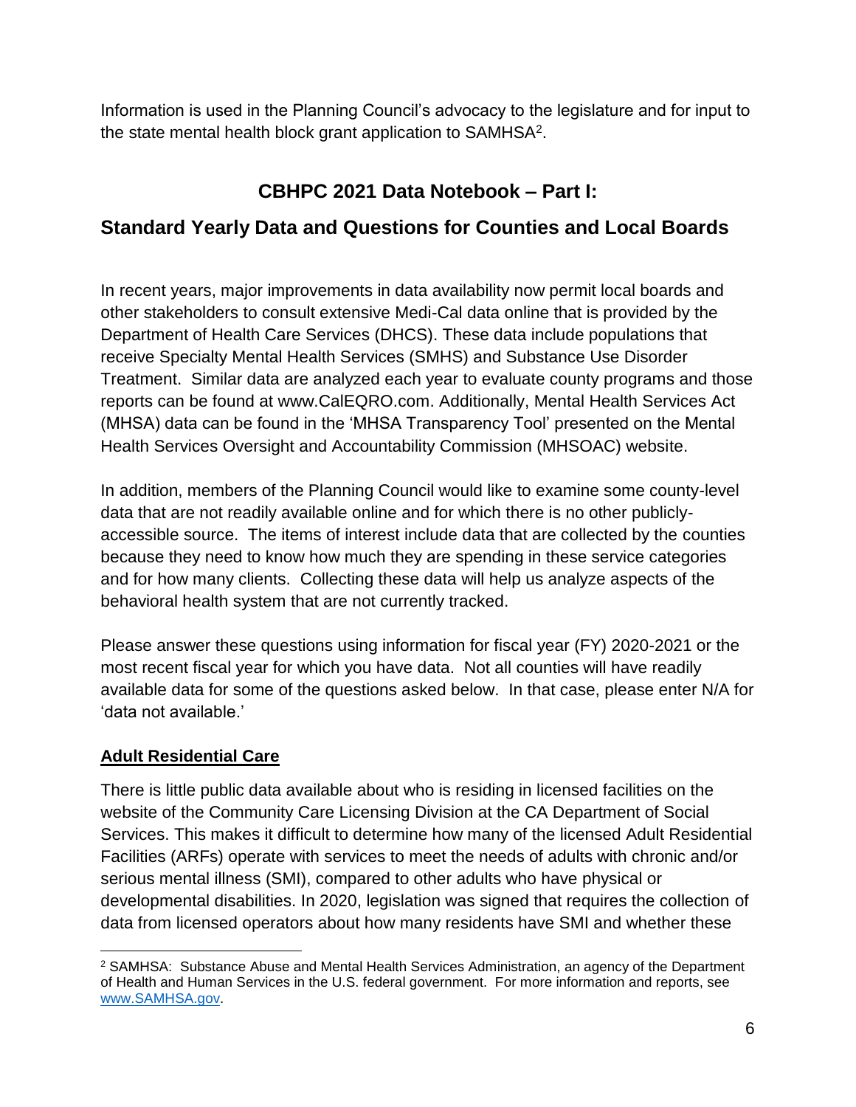Information is used in the Planning Council's advocacy to the legislature and for input to the state mental health block grant application to SAMHSA<sup>2</sup>.

## **CBHPC 2021 Data Notebook – Part I:**

## **Standard Yearly Data and Questions for Counties and Local Boards**

In recent years, major improvements in data availability now permit local boards and other stakeholders to consult extensive Medi-Cal data online that is provided by the Department of Health Care Services (DHCS). These data include populations that receive Specialty Mental Health Services (SMHS) and Substance Use Disorder Treatment. Similar data are analyzed each year to evaluate county programs and those reports can be found at [www.CalEQRO.com.](http://www.caleqro.com/) Additionally, Mental Health Services Act (MHSA) data can be found in the 'MHSA Transparency Tool' presented on the Mental Health Services Oversight and Accountability Commission (MHSOAC) website.

In addition, members of the Planning Council would like to examine some county-level data that are not readily available online and for which there is no other publiclyaccessible source. The items of interest include data that are collected by the counties because they need to know how much they are spending in these service categories and for how many clients. Collecting these data will help us analyze aspects of the behavioral health system that are not currently tracked.

Please answer these questions using information for fiscal year (FY) 2020-2021 or the most recent fiscal year for which you have data. Not all counties will have readily available data for some of the questions asked below. In that case, please enter N/A for 'data not available.'

## **Adult Residential Care**

There is little public data available about who is residing in licensed facilities on the website of the Community Care Licensing Division at the CA Department of Social Services. This makes it difficult to determine how many of the licensed Adult Residential Facilities (ARFs) operate with services to meet the needs of adults with chronic and/or serious mental illness (SMI), compared to other adults who have physical or developmental disabilities. In 2020, legislation was signed that requires the collection of data from licensed operators about how many residents have SMI and whether these

 $\overline{\phantom{a}}$ <sup>2</sup> SAMHSA: Substance Abuse and Mental Health Services Administration, an agency of the Department of Health and Human Services in the U.S. federal government. For more information and reports, see [www.SAMHSA.gov.](http://www.samhsa.gov/)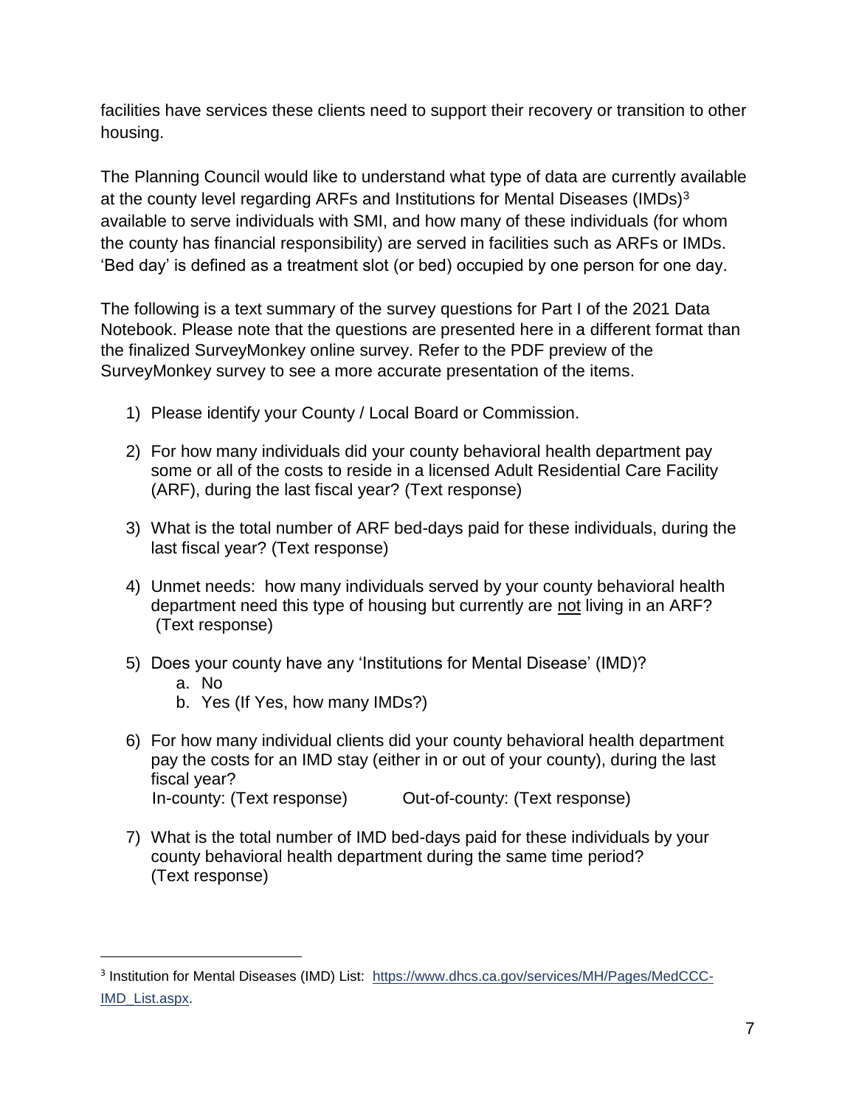facilities have services these clients need to support their recovery or transition to other housing.

The Planning Council would like to understand what type of data are currently available at the county level regarding ARFs and Institutions for Mental Diseases (IMDs)<sup>3</sup> available to serve individuals with SMI, and how many of these individuals (for whom the county has financial responsibility) are served in facilities such as ARFs or IMDs. 'Bed day' is defined as a treatment slot (or bed) occupied by one person for one day.

The following is a text summary of the survey questions for Part I of the 2021 Data Notebook. Please note that the questions are presented here in a different format than the finalized SurveyMonkey online survey. Refer to the PDF preview of the SurveyMonkey survey to see a more accurate presentation of the items.

- 1) Please identify your County / Local Board or Commission.
- 2) For how many individuals did your county behavioral health department pay some or all of the costs to reside in a licensed Adult Residential Care Facility (ARF), during the last fiscal year? (Text response)
- 3) What is the total number of ARF bed-days paid for these individuals, during the last fiscal year? (Text response)
- 4) Unmet needs: how many individuals served by your county behavioral health department need this type of housing but currently are not living in an ARF? (Text response)
- 5) Does your county have any 'Institutions for Mental Disease' (IMD)?
	- a. No

 $\overline{\phantom{a}}$ 

- b. Yes (If Yes, how many IMDs?)
- 6) For how many individual clients did your county behavioral health department pay the costs for an IMD stay (either in or out of your county), during the last fiscal year? In-county: (Text response) Out-of-county: (Text response)
- 7) What is the total number of IMD bed-days paid for these individuals by your county behavioral health department during the same time period? (Text response)

<sup>&</sup>lt;sup>3</sup> Institution for Mental Diseases (IMD) List: [https://www.dhcs.ca.gov/services/MH/Pages/MedCCC-](https://www.dhcs.ca.gov/services/MH/Pages/MedCCC-IMD_List.aspx)[IMD\\_List.aspx.](https://www.dhcs.ca.gov/services/MH/Pages/MedCCC-IMD_List.aspx)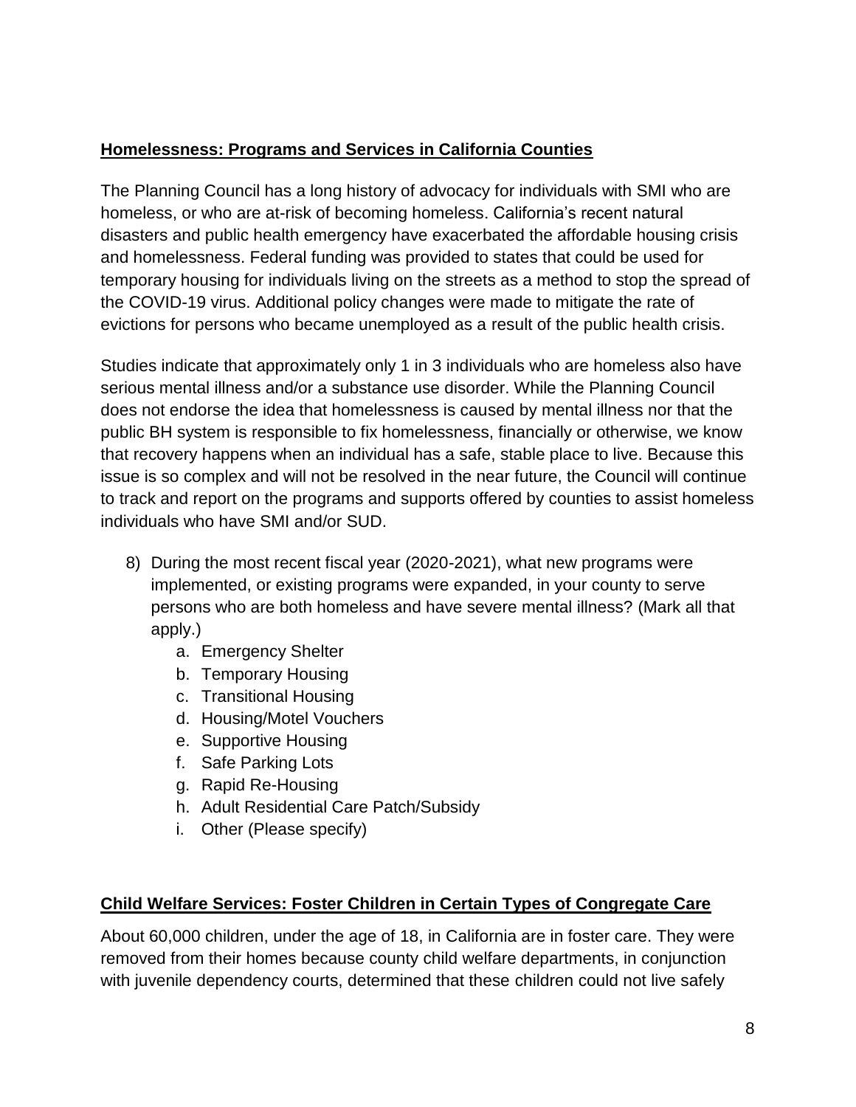## **Homelessness: Programs and Services in California Counties**

The Planning Council has a long history of advocacy for individuals with SMI who are homeless, or who are at-risk of becoming homeless. California's recent natural disasters and public health emergency have exacerbated the affordable housing crisis and homelessness. Federal funding was provided to states that could be used for temporary housing for individuals living on the streets as a method to stop the spread of the COVID-19 virus. Additional policy changes were made to mitigate the rate of evictions for persons who became unemployed as a result of the public health crisis.

Studies indicate that approximately only 1 in 3 individuals who are homeless also have serious mental illness and/or a substance use disorder. While the Planning Council does not endorse the idea that homelessness is caused by mental illness nor that the public BH system is responsible to fix homelessness, financially or otherwise, we know that recovery happens when an individual has a safe, stable place to live. Because this issue is so complex and will not be resolved in the near future, the Council will continue to track and report on the programs and supports offered by counties to assist homeless individuals who have SMI and/or SUD.

- 8) During the most recent fiscal year (2020-2021), what new programs were implemented, or existing programs were expanded, in your county to serve persons who are both homeless and have severe mental illness? (Mark all that apply.)
	- a. Emergency Shelter
	- b. Temporary Housing
	- c. Transitional Housing
	- d. Housing/Motel Vouchers
	- e. Supportive Housing
	- f. Safe Parking Lots
	- g. Rapid Re-Housing
	- h. Adult Residential Care Patch/Subsidy
	- i. Other (Please specify)

#### **Child Welfare Services: Foster Children in Certain Types of Congregate Care**

About 60,000 children, under the age of 18, in California are in foster care. They were removed from their homes because county child welfare departments, in conjunction with juvenile dependency courts, determined that these children could not live safely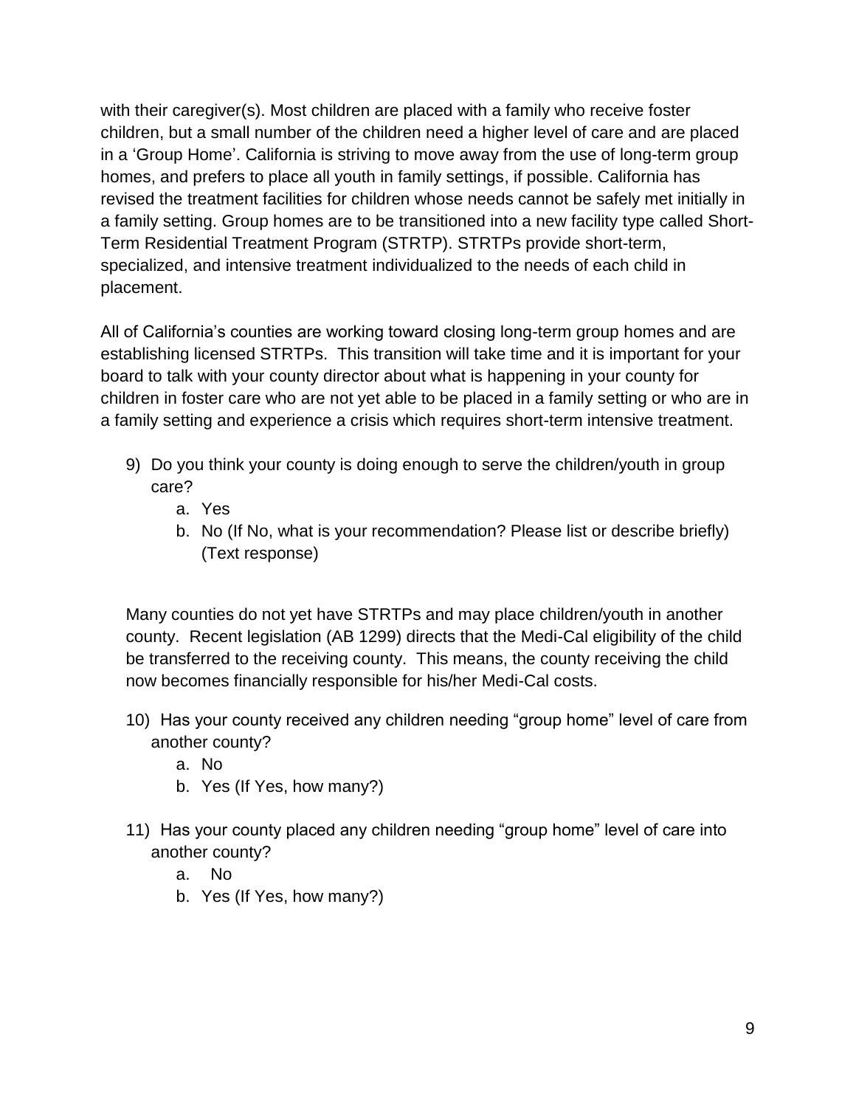with their caregiver(s). Most children are placed with a family who receive foster children, but a small number of the children need a higher level of care and are placed in a 'Group Home'. California is striving to move away from the use of long-term group homes, and prefers to place all youth in family settings, if possible. California has revised the treatment facilities for children whose needs cannot be safely met initially in a family setting. Group homes are to be transitioned into a new facility type called Short-Term Residential Treatment Program (STRTP). STRTPs provide short-term, specialized, and intensive treatment individualized to the needs of each child in placement.

All of California's counties are working toward closing long-term group homes and are establishing licensed STRTPs. This transition will take time and it is important for your board to talk with your county director about what is happening in your county for children in foster care who are not yet able to be placed in a family setting or who are in a family setting and experience a crisis which requires short-term intensive treatment.

- 9) Do you think your county is doing enough to serve the children/youth in group care?
	- a. Yes
	- b. No (If No, what is your recommendation? Please list or describe briefly) (Text response)

Many counties do not yet have STRTPs and may place children/youth in another county. Recent legislation (AB 1299) directs that the Medi-Cal eligibility of the child be transferred to the receiving county. This means, the county receiving the child now becomes financially responsible for his/her Medi-Cal costs.

- 10) Has your county received any children needing "group home" level of care from another county?
	- a. No
	- b. Yes (If Yes, how many?)
- 11) Has your county placed any children needing "group home" level of care into another county?
	- a. No
	- b. Yes (If Yes, how many?)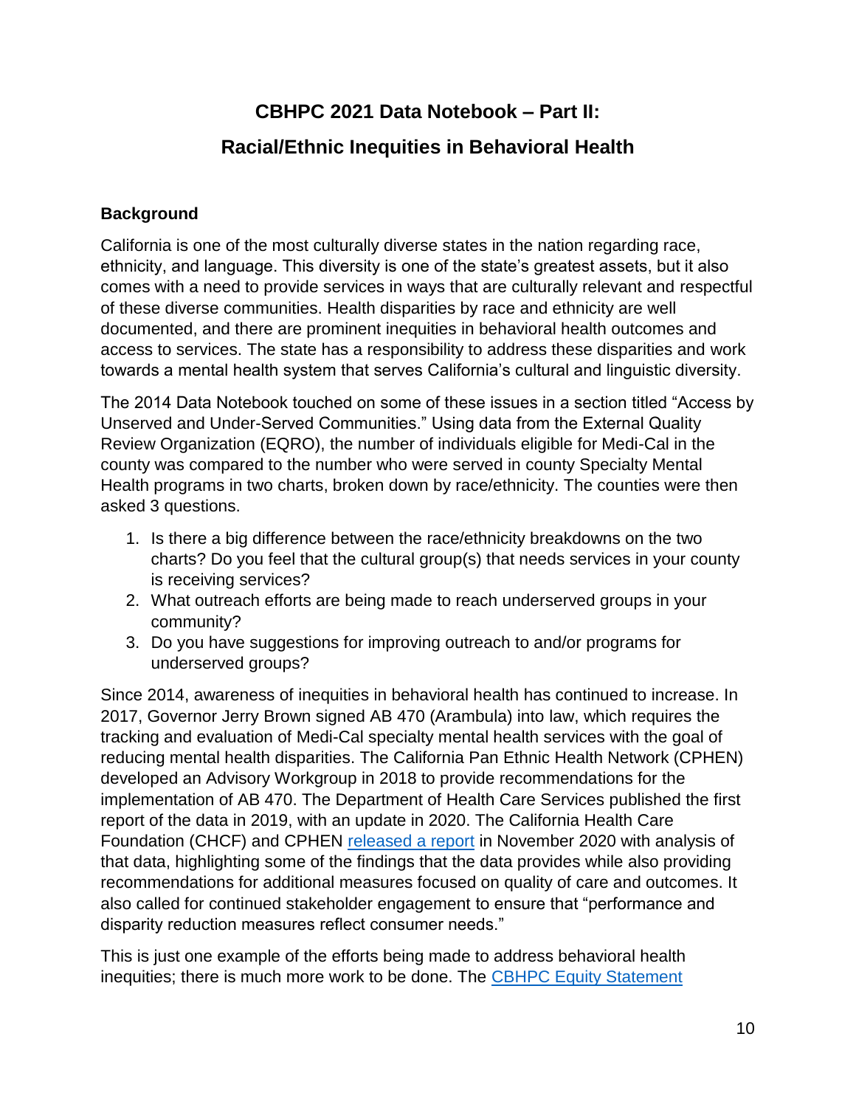## **CBHPC 2021 Data Notebook – Part II:**

## **Racial/Ethnic Inequities in Behavioral Health**

## **Background**

California is one of the most culturally diverse states in the nation regarding race, ethnicity, and language. This diversity is one of the state's greatest assets, but it also comes with a need to provide services in ways that are culturally relevant and respectful of these diverse communities. Health disparities by race and ethnicity are well documented, and there are prominent inequities in behavioral health outcomes and access to services. The state has a responsibility to address these disparities and work towards a mental health system that serves California's cultural and linguistic diversity.

The 2014 Data Notebook touched on some of these issues in a section titled "Access by Unserved and Under-Served Communities." Using data from the External Quality Review Organization (EQRO), the number of individuals eligible for Medi-Cal in the county was compared to the number who were served in county Specialty Mental Health programs in two charts, broken down by race/ethnicity. The counties were then asked 3 questions.

- 1. Is there a big difference between the race/ethnicity breakdowns on the two charts? Do you feel that the cultural group(s) that needs services in your county is receiving services?
- 2. What outreach efforts are being made to reach underserved groups in your community?
- 3. Do you have suggestions for improving outreach to and/or programs for underserved groups?

Since 2014, awareness of inequities in behavioral health has continued to increase. In 2017, Governor Jerry Brown signed AB 470 (Arambula) into law, which requires the tracking and evaluation of Medi-Cal specialty mental health services with the goal of reducing mental health disparities. The California Pan Ethnic Health Network (CPHEN) developed an Advisory Workgroup in 2018 to provide recommendations for the implementation of AB 470. The Department of Health Care Services published the first report of the data in 2019, with an update in 2020. The California Health Care Foundation (CHCF) and CPHEN [released a report](https://www.chcf.org/publication/mental-health-disparities-race-ethnicity-adults-medi-cal/) in November 2020 with analysis of that data, highlighting some of the findings that the data provides while also providing recommendations for additional measures focused on quality of care and outcomes. It also called for continued stakeholder engagement to ensure that "performance and disparity reduction measures reflect consumer needs."

This is just one example of the efforts being made to address behavioral health inequities; there is much more work to be done. The [CBHPC Equity Statement](https://www.dhcs.ca.gov/services/MH/Pages/CBHPC-Equity-Statement.aspx)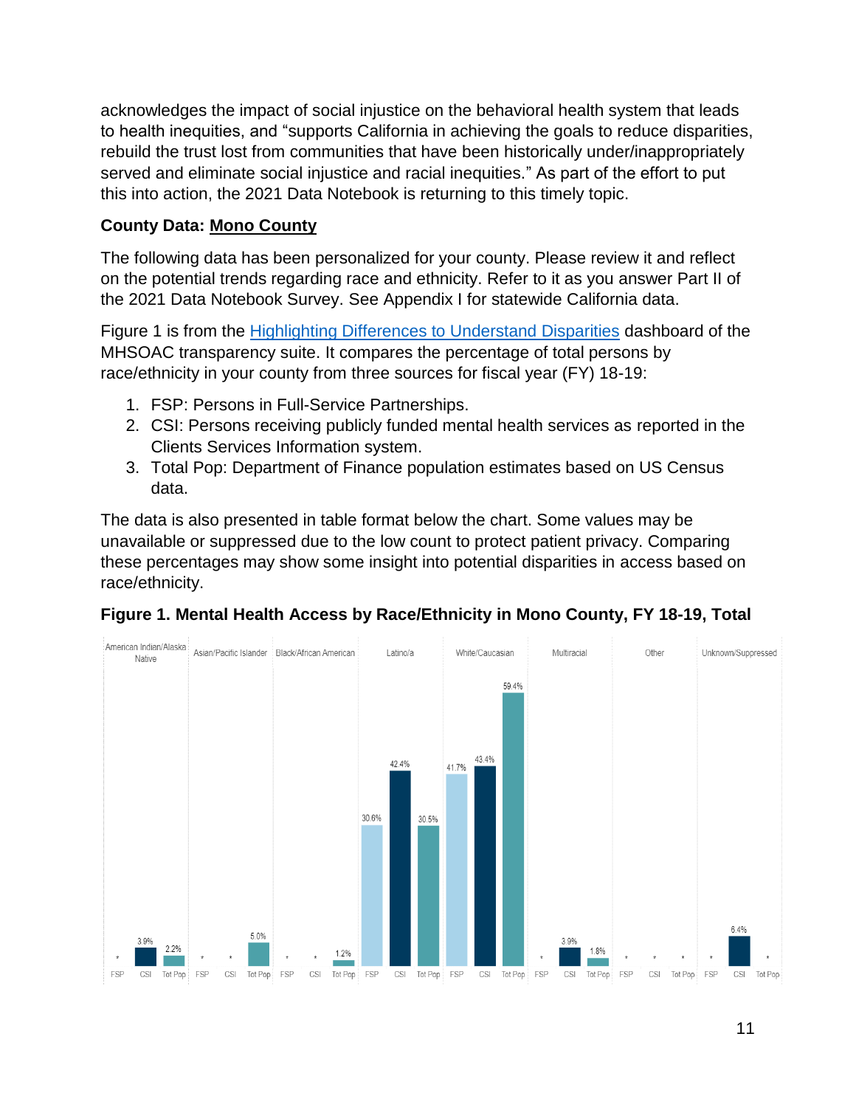acknowledges the impact of social injustice on the behavioral health system that leads to health inequities, and "supports California in achieving the goals to reduce disparities, rebuild the trust lost from communities that have been historically under/inappropriately served and eliminate social injustice and racial inequities." As part of the effort to put this into action, the 2021 Data Notebook is returning to this timely topic.

### **County Data: Mono County**

The following data has been personalized for your county. Please review it and reflect on the potential trends regarding race and ethnicity. Refer to it as you answer Part II of the 2021 Data Notebook Survey. See Appendix I for statewide California data.

Figure 1 is from the [Highlighting Differences to Understand Disparities](https://mhsoac.ca.gov/resources/transparency-suite/highlighting-differences-understand-disparities) dashboard of the MHSOAC transparency suite. It compares the percentage of total persons by race/ethnicity in your county from three sources for fiscal year (FY) 18-19:

- 1. FSP: Persons in Full-Service Partnerships.
- 2. CSI: Persons receiving publicly funded mental health services as reported in the Clients Services Information system.
- 3. Total Pop: Department of Finance population estimates based on US Census data.

The data is also presented in table format below the chart. Some values may be unavailable or suppressed due to the low count to protect patient privacy. Comparing these percentages may show some insight into potential disparities in access based on race/ethnicity.



**Figure 1. Mental Health Access by Race/Ethnicity in Mono County, FY 18-19, Total**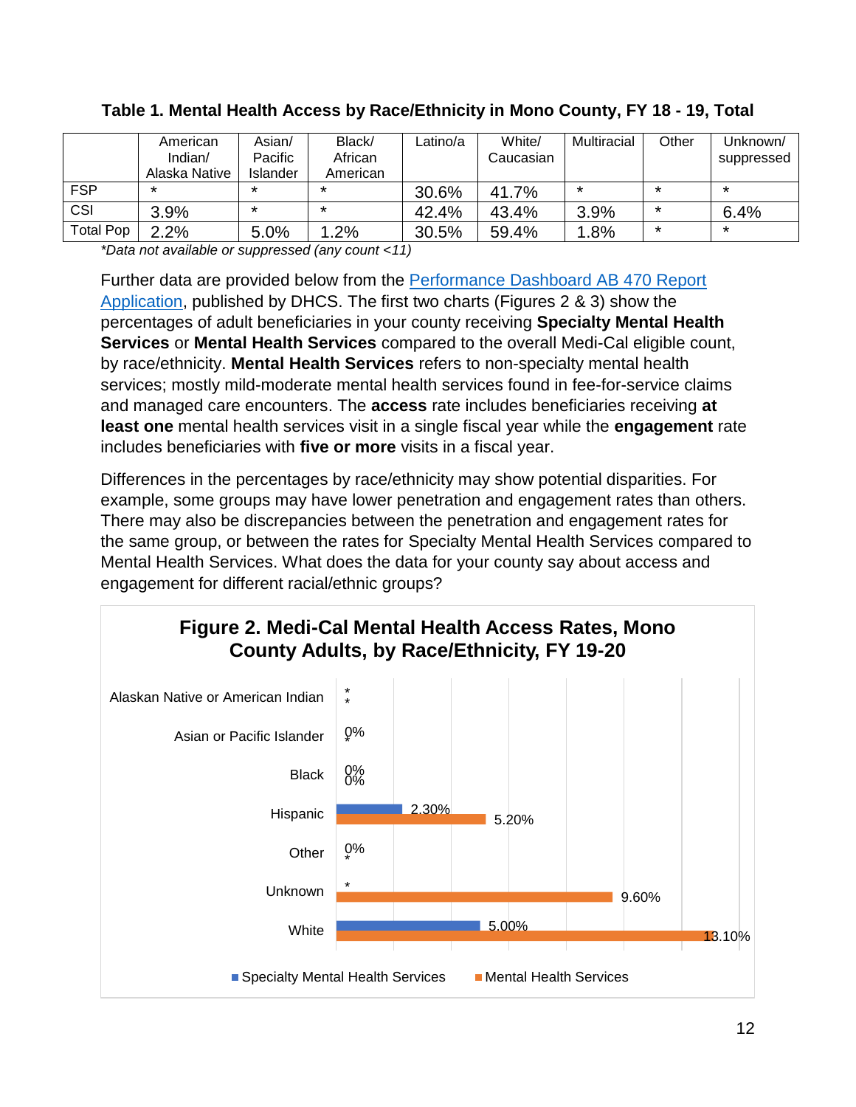|                  | American<br>Indian $/$<br>Alaska Native | Asian/<br>Pacific<br>Islander | Black/<br>African<br>American | Latino/a | White/<br>Caucasian | Multiracial | Other   | Unknown/<br>suppressed |
|------------------|-----------------------------------------|-------------------------------|-------------------------------|----------|---------------------|-------------|---------|------------------------|
| <b>FSP</b>       | ∗                                       | $\star$                       | $\star$                       | 30.6%    | 41.7%               | $\star$     | $\star$ | ∗                      |
| CSI              | 3.9%                                    | $\star$                       | $^\star$                      | 42.4%    | 43.4%               | 3.9%        | $\ast$  | 6.4%                   |
| <b>Total Pop</b> | 2.2%                                    | 5.0%                          | 1.2%                          | 30.5%    | 59.4%               | 1.8%        | $\ast$  | *                      |

### **Table 1. Mental Health Access by Race/Ethnicity in Mono County, FY 18 - 19, Total**

*\*Data not available or suppressed (any count <11)*

Further data are provided below from the [Performance Dashboard AB 470 Report](https://data.chhs.ca.gov/dataset/adult-ab470-datasets/resource/c1908f78-3716-4b91-8afa-0dc9c3c2058a)  [Application,](https://data.chhs.ca.gov/dataset/adult-ab470-datasets/resource/c1908f78-3716-4b91-8afa-0dc9c3c2058a) published by DHCS. The first two charts (Figures 2 & 3) show the percentages of adult beneficiaries in your county receiving **Specialty Mental Health Services** or **Mental Health Services** compared to the overall Medi-Cal eligible count, by race/ethnicity. **Mental Health Services** refers to non-specialty mental health services; mostly mild-moderate mental health services found in fee-for-service claims and managed care encounters. The **access** rate includes beneficiaries receiving **at least one** mental health services visit in a single fiscal year while the **engagement** rate includes beneficiaries with **five or more** visits in a fiscal year.

Differences in the percentages by race/ethnicity may show potential disparities. For example, some groups may have lower penetration and engagement rates than others. There may also be discrepancies between the penetration and engagement rates for the same group, or between the rates for Specialty Mental Health Services compared to Mental Health Services. What does the data for your county say about access and engagement for different racial/ethnic groups?

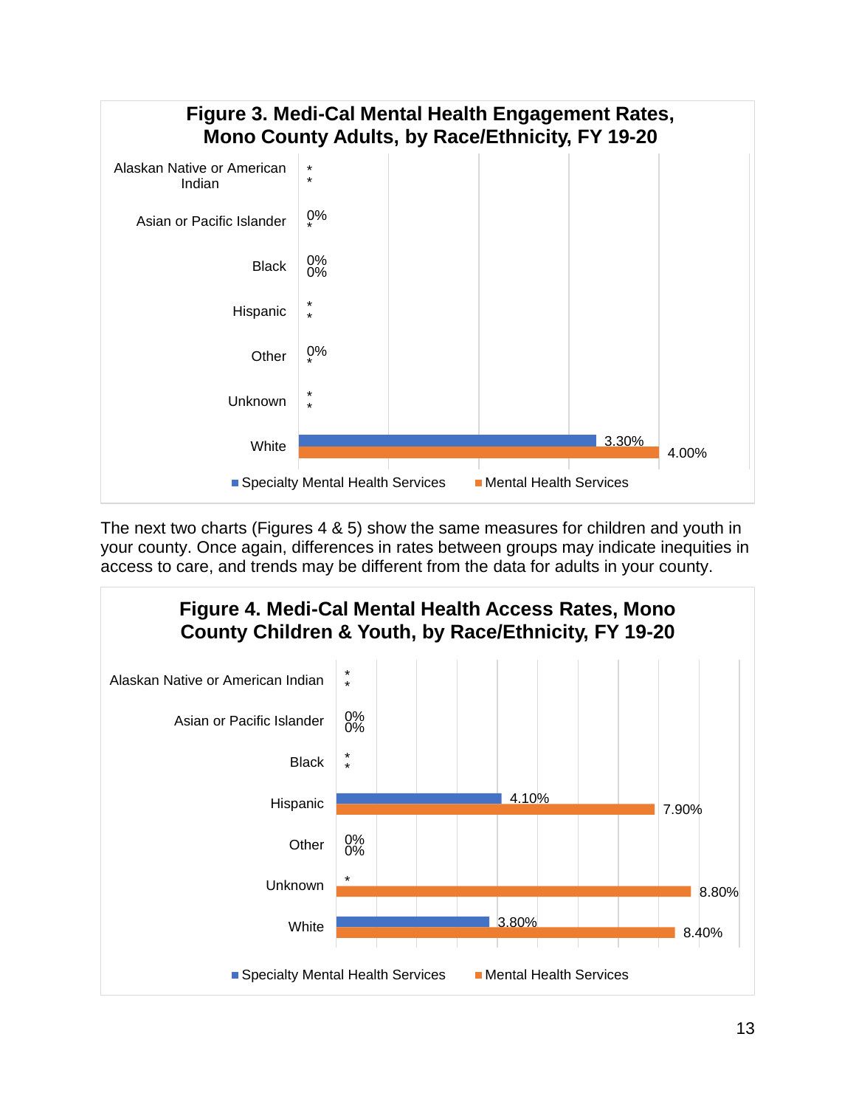

The next two charts (Figures 4 & 5) show the same measures for children and youth in your county. Once again, differences in rates between groups may indicate inequities in access to care, and trends may be different from the data for adults in your county.

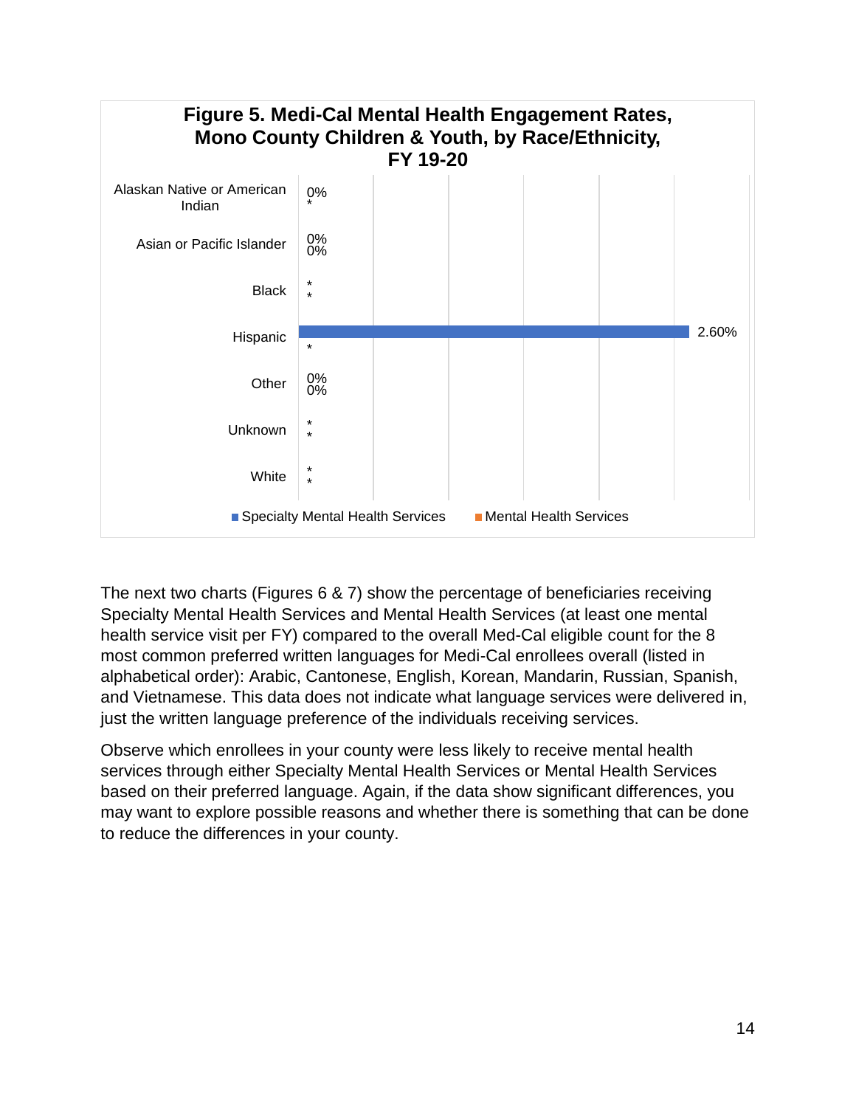

The next two charts (Figures 6 & 7) show the percentage of beneficiaries receiving Specialty Mental Health Services and Mental Health Services (at least one mental health service visit per FY) compared to the overall Med-Cal eligible count for the 8 most common preferred written languages for Medi-Cal enrollees overall (listed in alphabetical order): Arabic, Cantonese, English, Korean, Mandarin, Russian, Spanish, and Vietnamese. This data does not indicate what language services were delivered in, just the written language preference of the individuals receiving services.

Observe which enrollees in your county were less likely to receive mental health services through either Specialty Mental Health Services or Mental Health Services based on their preferred language. Again, if the data show significant differences, you may want to explore possible reasons and whether there is something that can be done to reduce the differences in your county.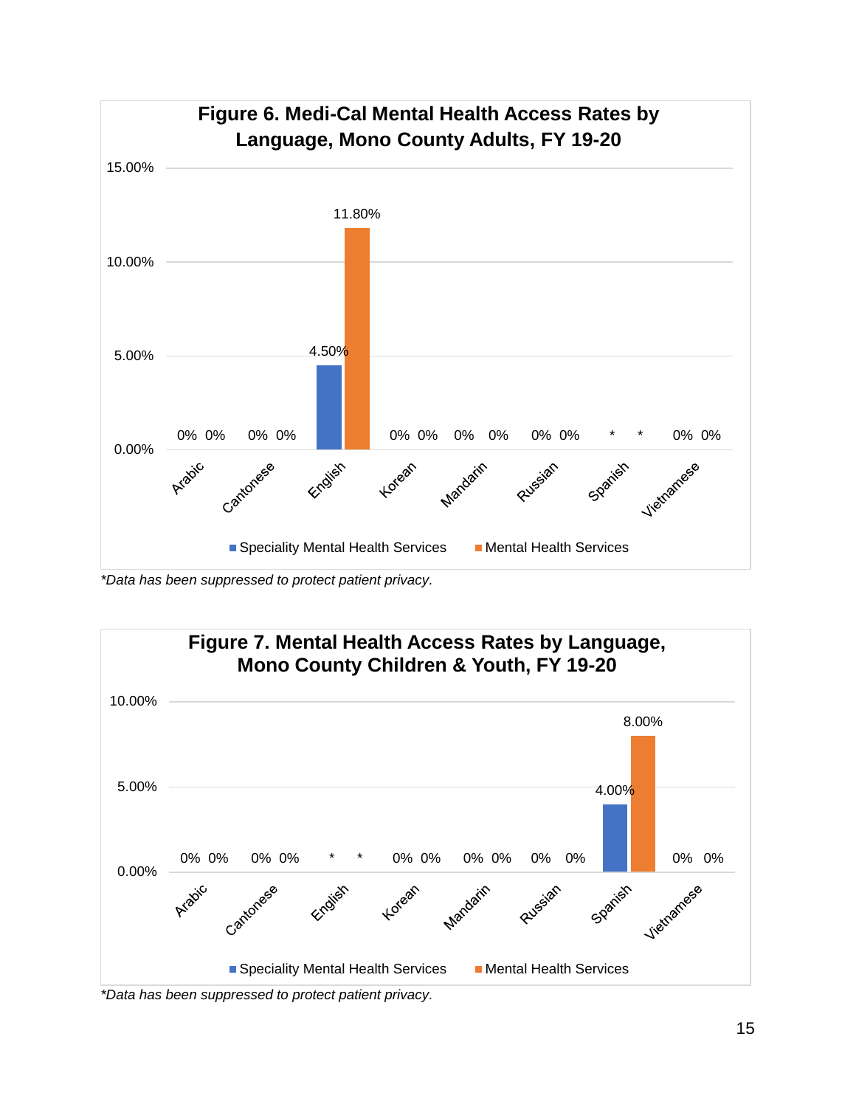

*\*Data has been suppressed to protect patient privacy.*



*\*Data has been suppressed to protect patient privacy.*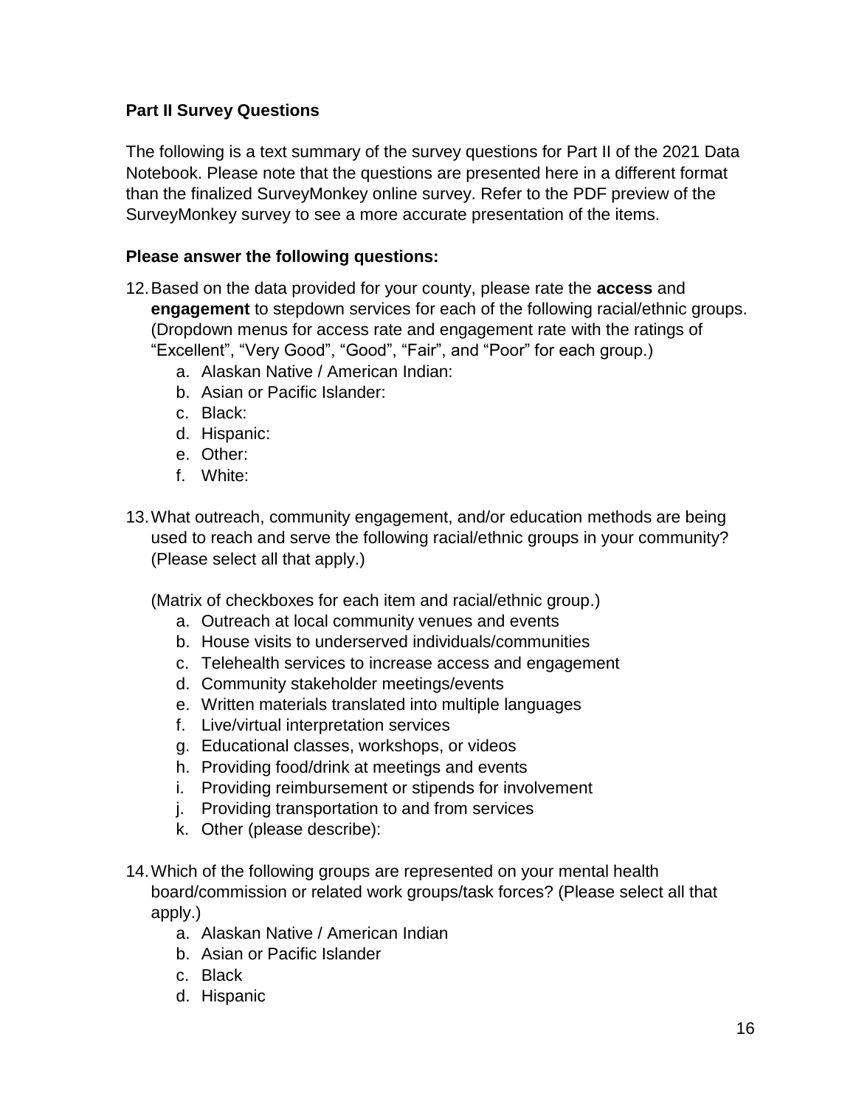### **Part II Survey Questions**

The following is a text summary of the survey questions for Part II of the 2021 Data Notebook. Please note that the questions are presented here in a different format than the finalized SurveyMonkey online survey. Refer to the PDF preview of the SurveyMonkey survey to see a more accurate presentation of the items.

#### **Please answer the following questions:**

- 12.Based on the data provided for your county, please rate the **access** and **engagement** to stepdown services for each of the following racial/ethnic groups. (Dropdown menus for access rate and engagement rate with the ratings of "Excellent", "Very Good", "Good", "Fair", and "Poor" for each group.)
	- a. Alaskan Native / American Indian:
	- b. Asian or Pacific Islander:
	- c. Black:
	- d. Hispanic:
	- e. Other:
	- f. White:
- 13.What outreach, community engagement, and/or education methods are being used to reach and serve the following racial/ethnic groups in your community? (Please select all that apply.)

(Matrix of checkboxes for each item and racial/ethnic group.)

- a. Outreach at local community venues and events
- b. House visits to underserved individuals/communities
- c. Telehealth services to increase access and engagement
- d. Community stakeholder meetings/events
- e. Written materials translated into multiple languages
- f. Live/virtual interpretation services
- g. Educational classes, workshops, or videos
- h. Providing food/drink at meetings and events
- i. Providing reimbursement or stipends for involvement
- j. Providing transportation to and from services
- k. Other (please describe):
- 14.Which of the following groups are represented on your mental health board/commission or related work groups/task forces? (Please select all that apply.)
	- a. Alaskan Native / American Indian
	- b. Asian or Pacific Islander
	- c. Black
	- d. Hispanic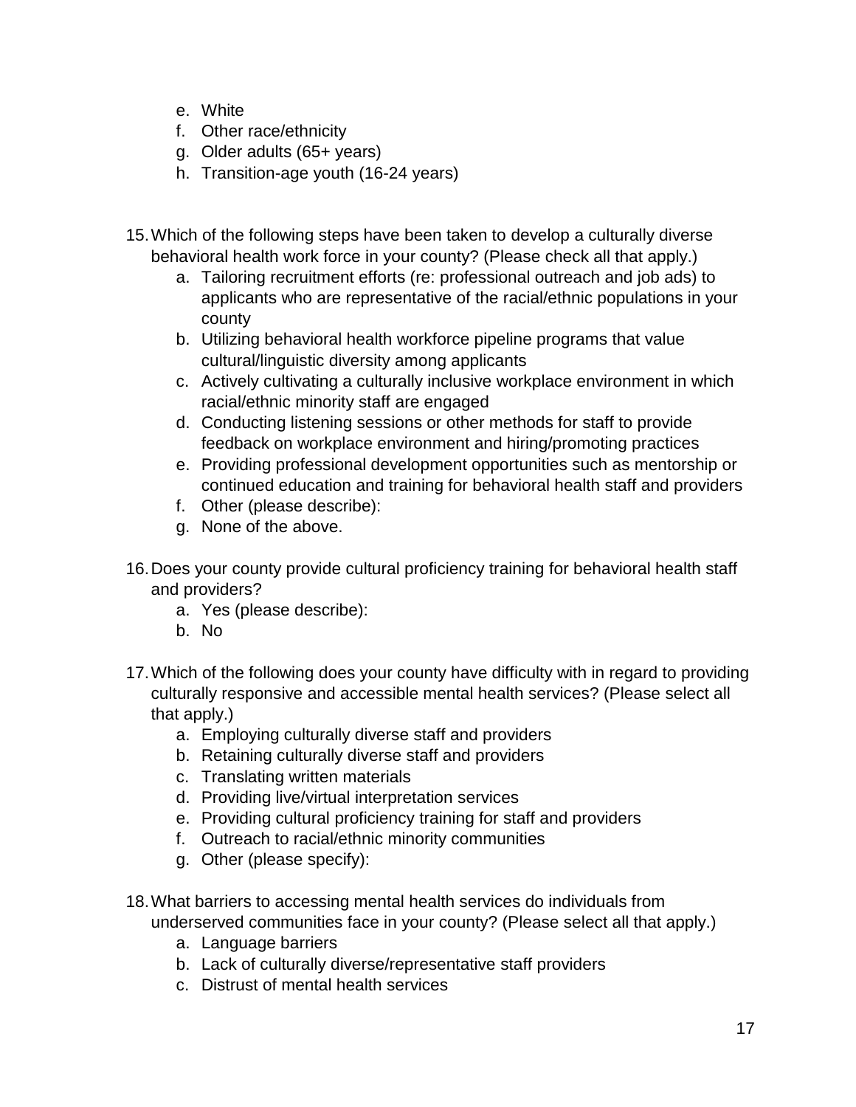- e. White
- f. Other race/ethnicity
- g. Older adults (65+ years)
- h. Transition-age youth (16-24 years)
- 15.Which of the following steps have been taken to develop a culturally diverse behavioral health work force in your county? (Please check all that apply.)
	- a. Tailoring recruitment efforts (re: professional outreach and job ads) to applicants who are representative of the racial/ethnic populations in your county
	- b. Utilizing behavioral health workforce pipeline programs that value cultural/linguistic diversity among applicants
	- c. Actively cultivating a culturally inclusive workplace environment in which racial/ethnic minority staff are engaged
	- d. Conducting listening sessions or other methods for staff to provide feedback on workplace environment and hiring/promoting practices
	- e. Providing professional development opportunities such as mentorship or continued education and training for behavioral health staff and providers
	- f. Other (please describe):
	- g. None of the above.
- 16.Does your county provide cultural proficiency training for behavioral health staff and providers?
	- a. Yes (please describe):
	- b. No
- 17.Which of the following does your county have difficulty with in regard to providing culturally responsive and accessible mental health services? (Please select all that apply.)
	- a. Employing culturally diverse staff and providers
	- b. Retaining culturally diverse staff and providers
	- c. Translating written materials
	- d. Providing live/virtual interpretation services
	- e. Providing cultural proficiency training for staff and providers
	- f. Outreach to racial/ethnic minority communities
	- g. Other (please specify):
- 18.What barriers to accessing mental health services do individuals from underserved communities face in your county? (Please select all that apply.)
	- a. Language barriers
	- b. Lack of culturally diverse/representative staff providers
	- c. Distrust of mental health services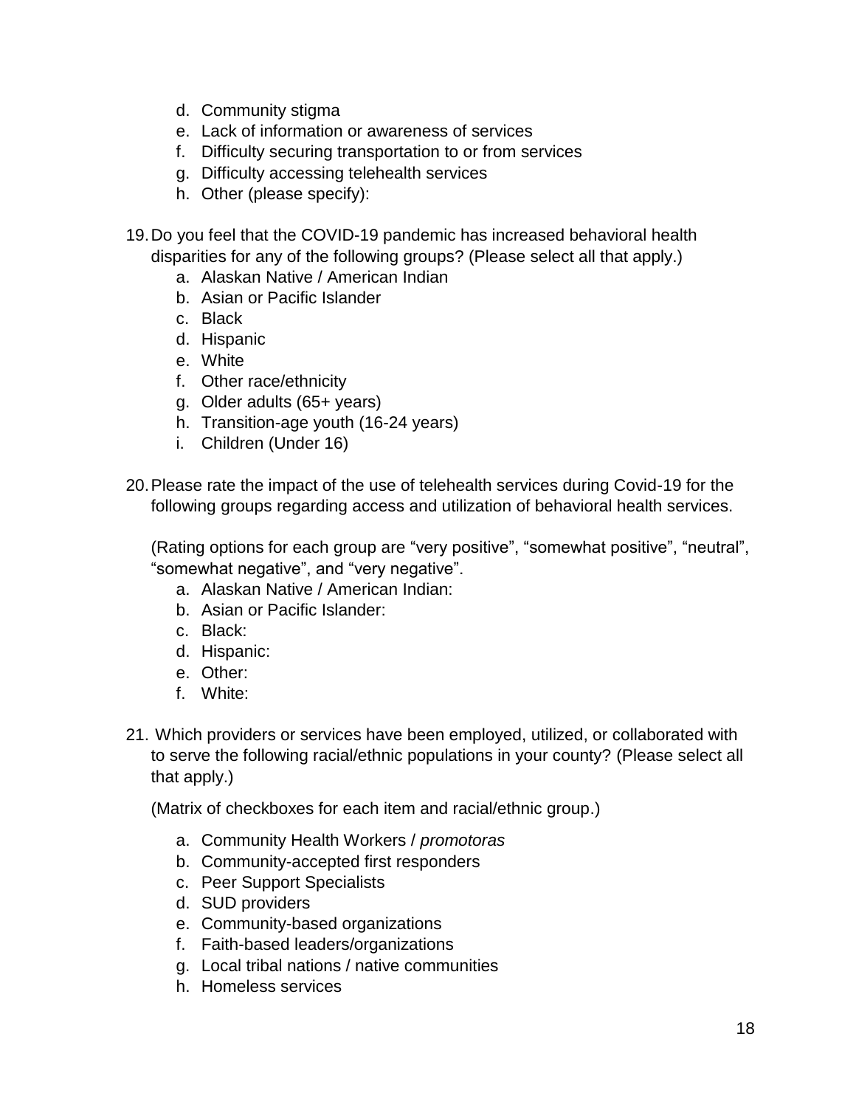- d. Community stigma
- e. Lack of information or awareness of services
- f. Difficulty securing transportation to or from services
- g. Difficulty accessing telehealth services
- h. Other (please specify):
- 19.Do you feel that the COVID-19 pandemic has increased behavioral health disparities for any of the following groups? (Please select all that apply.)
	- a. Alaskan Native / American Indian
	- b. Asian or Pacific Islander
	- c. Black
	- d. Hispanic
	- e. White
	- f. Other race/ethnicity
	- g. Older adults (65+ years)
	- h. Transition-age youth (16-24 years)
	- i. Children (Under 16)
- 20.Please rate the impact of the use of telehealth services during Covid-19 for the following groups regarding access and utilization of behavioral health services.

(Rating options for each group are "very positive", "somewhat positive", "neutral", "somewhat negative", and "very negative".

- a. Alaskan Native / American Indian:
- b. Asian or Pacific Islander:
- c. Black:
- d. Hispanic:
- e. Other:
- f. White:
- 21. Which providers or services have been employed, utilized, or collaborated with to serve the following racial/ethnic populations in your county? (Please select all that apply.)

(Matrix of checkboxes for each item and racial/ethnic group.)

- a. Community Health Workers / *promotoras*
- b. Community-accepted first responders
- c. Peer Support Specialists
- d. SUD providers
- e. Community-based organizations
- f. Faith-based leaders/organizations
- g. Local tribal nations / native communities
- h. Homeless services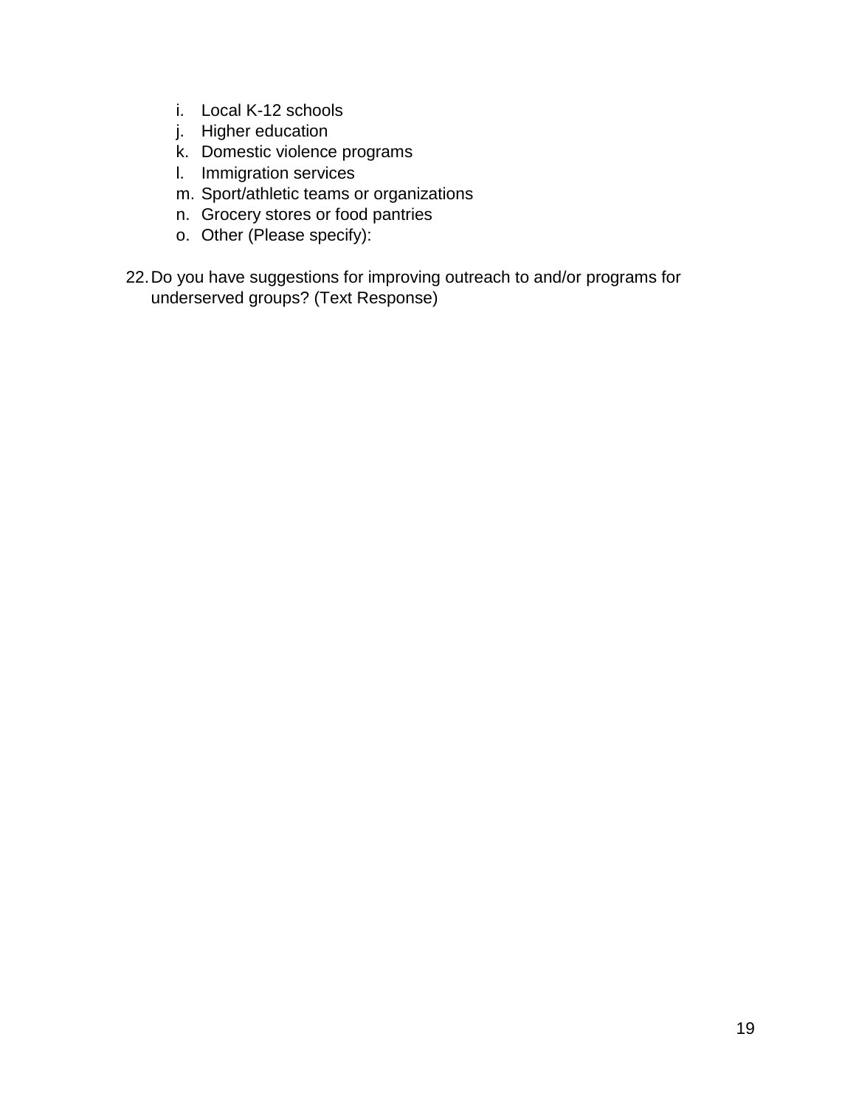- i. Local K-12 schools
- j. Higher education
- k. Domestic violence programs
- l. Immigration services
- m. Sport/athletic teams or organizations
- n. Grocery stores or food pantries
- o. Other (Please specify):
- 22.Do you have suggestions for improving outreach to and/or programs for underserved groups? (Text Response)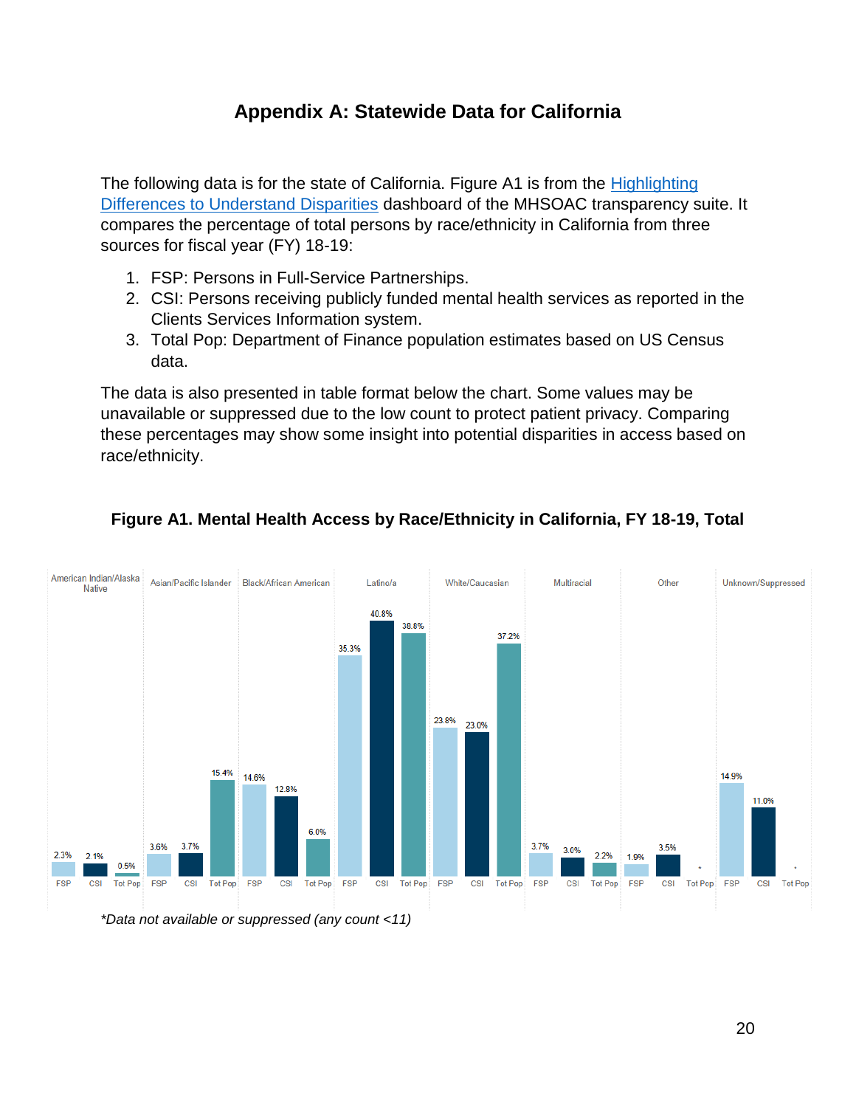## **Appendix A: Statewide Data for California**

The following data is for the state of California. Figure A1 is from the Highlighting [Differences to Understand Disparities](https://mhsoac.ca.gov/resources/transparency-suite/highlighting-differences-understand-disparities) dashboard of the MHSOAC transparency suite. It compares the percentage of total persons by race/ethnicity in California from three sources for fiscal year (FY) 18-19:

- 1. FSP: Persons in Full-Service Partnerships.
- 2. CSI: Persons receiving publicly funded mental health services as reported in the Clients Services Information system.
- 3. Total Pop: Department of Finance population estimates based on US Census data.

The data is also presented in table format below the chart. Some values may be unavailable or suppressed due to the low count to protect patient privacy. Comparing these percentages may show some insight into potential disparities in access based on race/ethnicity.



#### **Figure A1. Mental Health Access by Race/Ethnicity in California, FY 18-19, Total**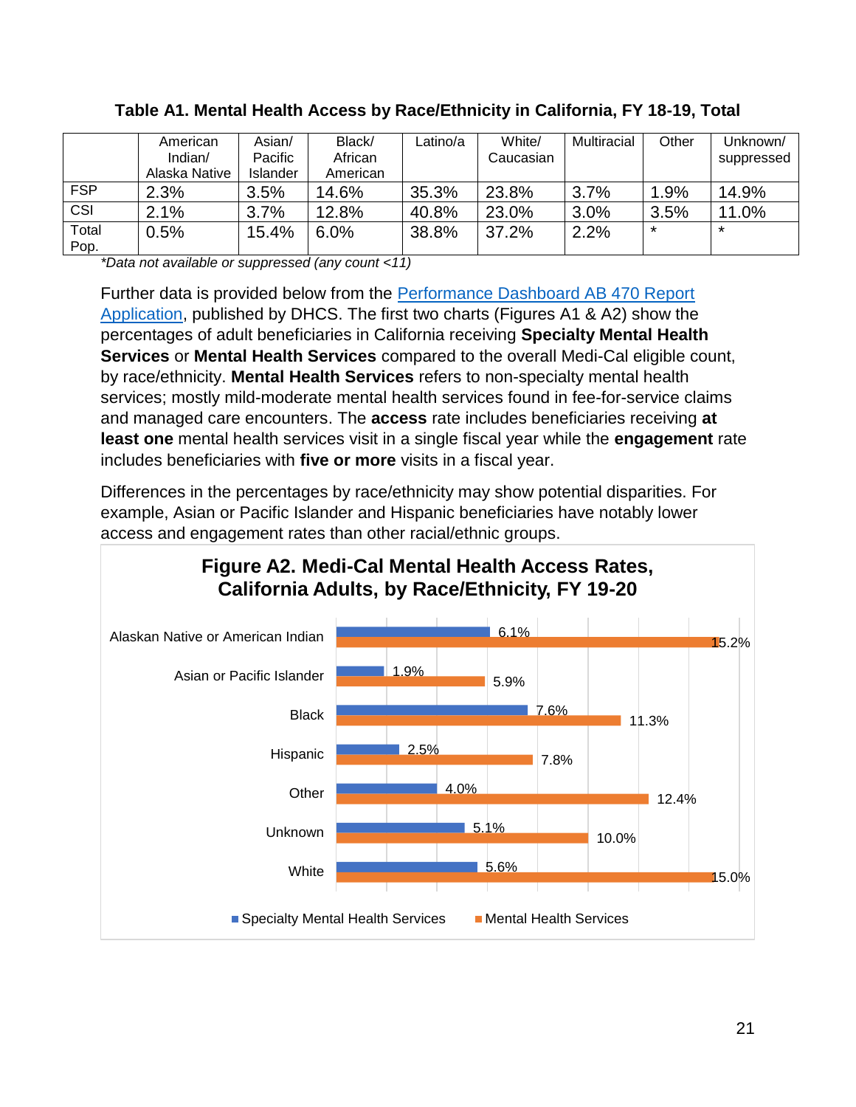|               | American      | Asian/          | Black/   | Latino/a | White/    | Multiracial | Other   | Unknown/   |
|---------------|---------------|-----------------|----------|----------|-----------|-------------|---------|------------|
|               | Indian/       | Pacific         | African  |          | Caucasian |             |         | suppressed |
|               | Alaska Native | <b>Islander</b> | American |          |           |             |         |            |
| <b>FSP</b>    | 2.3%          | 3.5%            | 14.6%    | 35.3%    | 23.8%     | 3.7%        | $1.9\%$ | 14.9%      |
| CSI           | 2.1%          | 3.7%            | 12.8%    | 40.8%    | 23.0%     | 3.0%        | 3.5%    | 11.0%      |
| Total<br>Pop. | 0.5%          | 15.4%           | 6.0%     | 38.8%    | 37.2%     | 2.2%        | $\star$ | *          |

#### **Table A1. Mental Health Access by Race/Ethnicity in California, FY 18-19, Total**

*\*Data not available or suppressed (any count <11)*

Further data is provided below from the [Performance Dashboard AB 470 Report](https://data.chhs.ca.gov/dataset/adult-ab470-datasets/resource/c1908f78-3716-4b91-8afa-0dc9c3c2058a)  [Application,](https://data.chhs.ca.gov/dataset/adult-ab470-datasets/resource/c1908f78-3716-4b91-8afa-0dc9c3c2058a) published by DHCS. The first two charts (Figures A1 & A2) show the percentages of adult beneficiaries in California receiving **Specialty Mental Health Services** or **Mental Health Services** compared to the overall Medi-Cal eligible count, by race/ethnicity. **Mental Health Services** refers to non-specialty mental health services; mostly mild-moderate mental health services found in fee-for-service claims and managed care encounters. The **access** rate includes beneficiaries receiving **at least one** mental health services visit in a single fiscal year while the **engagement** rate includes beneficiaries with **five or more** visits in a fiscal year.

Differences in the percentages by race/ethnicity may show potential disparities. For example, Asian or Pacific Islander and Hispanic beneficiaries have notably lower access and engagement rates than other racial/ethnic groups.

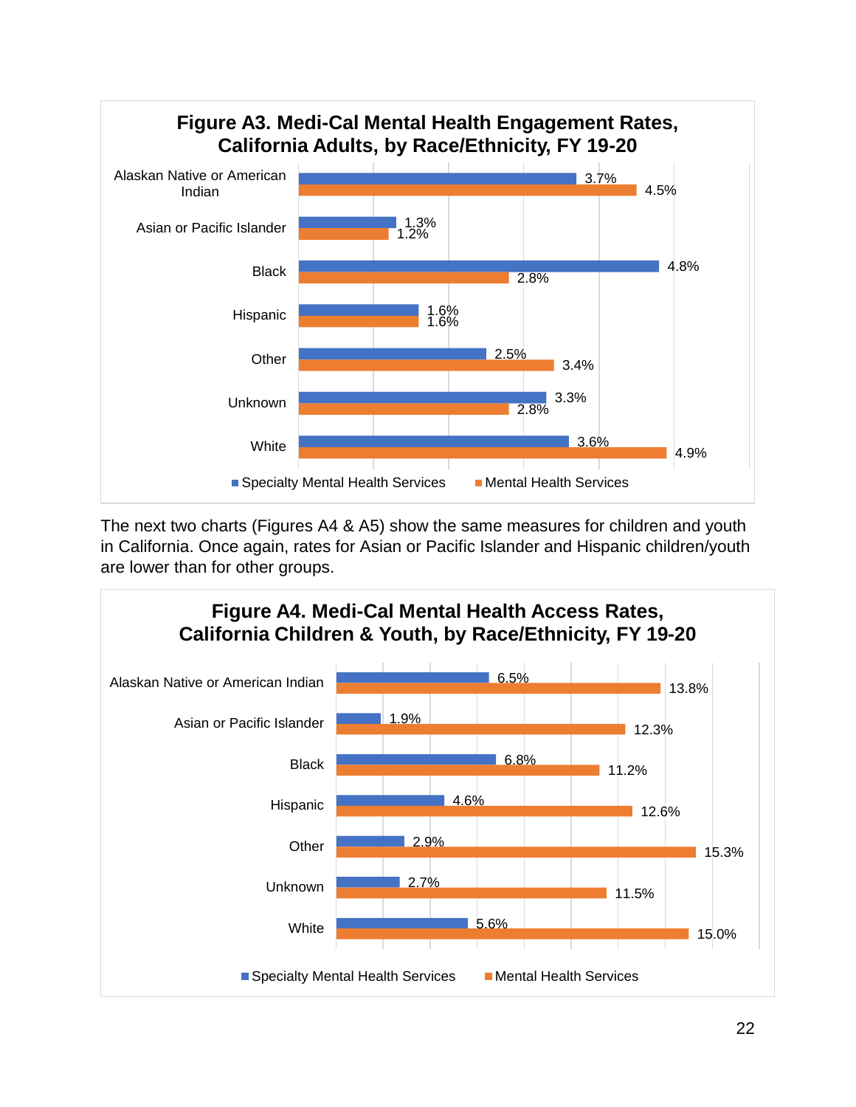

The next two charts (Figures A4 & A5) show the same measures for children and youth in California. Once again, rates for Asian or Pacific Islander and Hispanic children/youth are lower than for other groups.

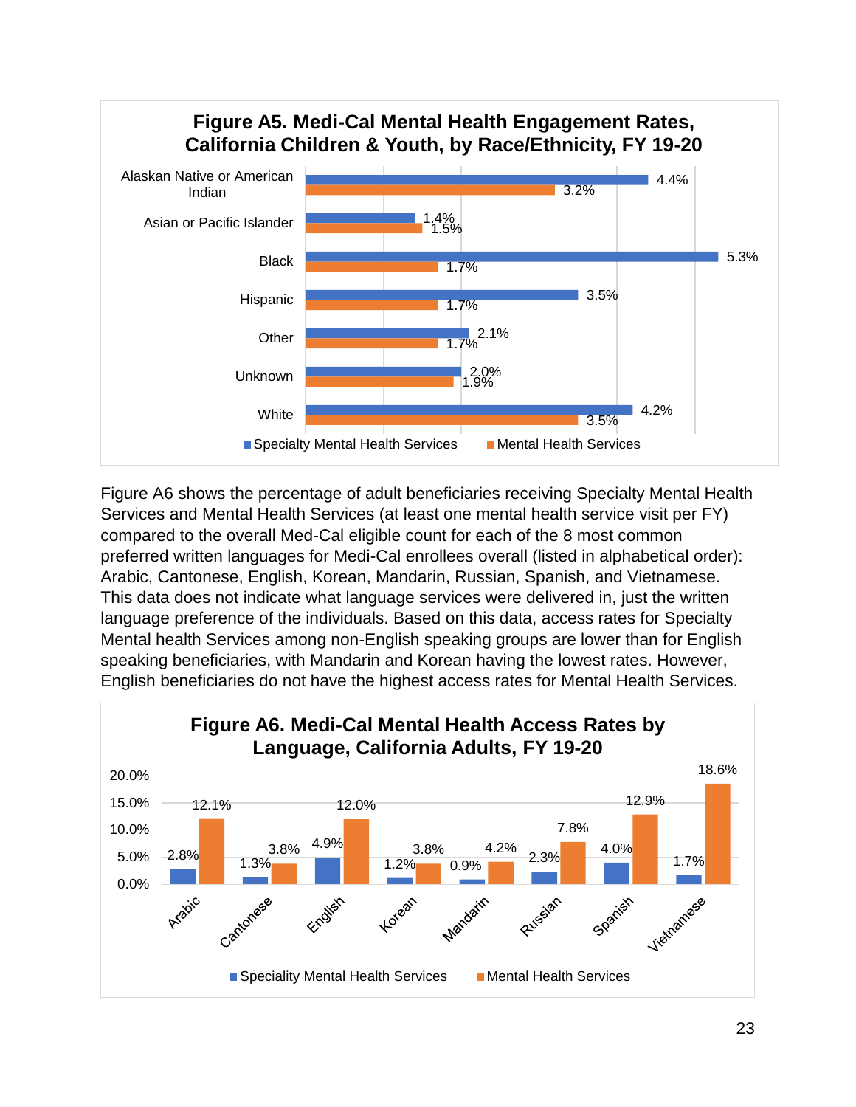

Figure A6 shows the percentage of adult beneficiaries receiving Specialty Mental Health Services and Mental Health Services (at least one mental health service visit per FY) compared to the overall Med-Cal eligible count for each of the 8 most common preferred written languages for Medi-Cal enrollees overall (listed in alphabetical order): Arabic, Cantonese, English, Korean, Mandarin, Russian, Spanish, and Vietnamese. This data does not indicate what language services were delivered in, just the written language preference of the individuals. Based on this data, access rates for Specialty Mental health Services among non-English speaking groups are lower than for English speaking beneficiaries, with Mandarin and Korean having the lowest rates. However, English beneficiaries do not have the highest access rates for Mental Health Services.